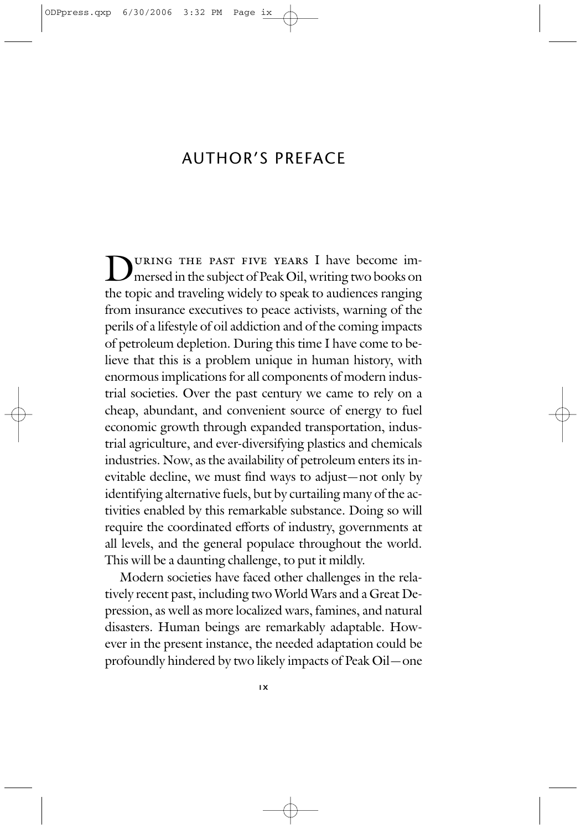## AUTHOR'S PREFACE

DURING THE PAST FIVE YEARS I have become im-<br>mersed in the subject of Peak Oil, writing two books on the topic and traveling widely to speak to audiences ranging from insurance executives to peace activists, warning of the perils of a lifestyle of oil addiction and of the coming impacts of petroleum depletion. During this time I have come to believe that this is a problem unique in human history, with enormous implications for all components of modern industrial societies. Over the past century we came to rely on a cheap, abundant, and convenient source of energy to fuel economic growth through expanded transportation, industrial agriculture, and ever-diversifying plastics and chemicals industries. Now, as the availability of petroleum enters its inevitable decline, we must find ways to adjust—not only by identifying alternative fuels, but by curtailing many of the activities enabled by this remarkable substance. Doing so will require the coordinated efforts of industry, governments at all levels, and the general populace throughout the world. This will be a daunting challenge, to put it mildly.

Modern societies have faced other challenges in the relatively recent past, including two World Wars and a Great Depression, as well as more localized wars, famines, and natural disasters. Human beings are remarkably adaptable. However in the present instance, the needed adaptation could be profoundly hindered by two likely impacts of Peak Oil—one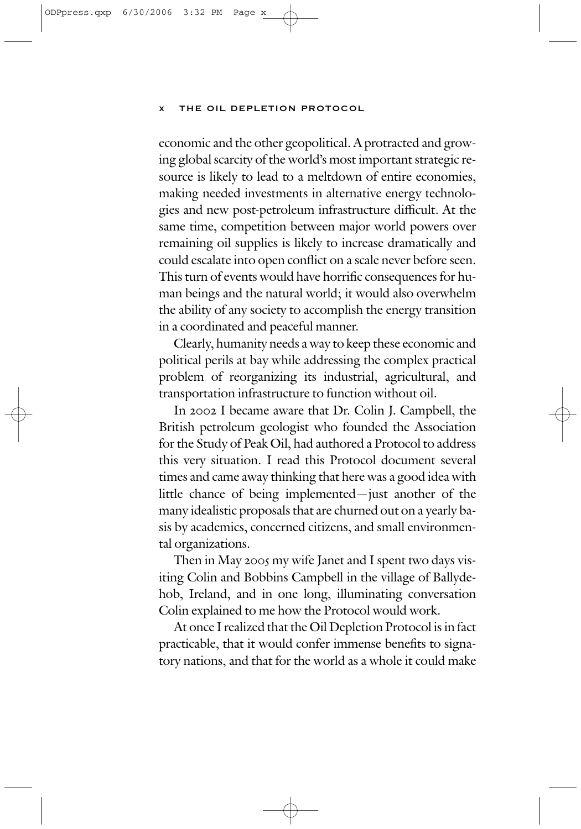economic and the other geopolitical. A protracted and growing global scarcity of the world's most important strategic resource is likely to lead to a meltdown of entire economies, making needed investments in alternative energy technologies and new post-petroleum infrastructure difficult. At the same time, competition between major world powers over remaining oil supplies is likely to increase dramatically and could escalate into open conflict on a scale never before seen. This turn of events would have horrific consequences for human beings and the natural world; it would also overwhelm the ability of any society to accomplish the energy transition in a coordinated and peaceful manner.

Clearly, humanity needs a way to keep these economic and political perils at bay while addressing the complex practical problem of reorganizing its industrial, agricultural, and transportation infrastructure to function without oil.

In 2002 I became aware that Dr. Colin J. Campbell, the British petroleum geologist who founded the Association for the Study of Peak Oil, had authored a Protocol to address this very situation. I read this Protocol document several times and came away thinking that here was a good idea with little chance of being implemented—just another of the many idealistic proposals that are churned out on a yearly basis by academics, concerned citizens, and small environmental organizations.

Then in May 2005 my wife Janet and I spent two days visiting Colin and Bobbins Campbell in the village of Ballydehob, Ireland, and in one long, illuminating conversation Colin explained to me how the Protocol would work.

At once I realized that the Oil Depletion Protocol is in fact practicable, that it would confer immense benefits to signatory nations, and that for the world as a whole it could make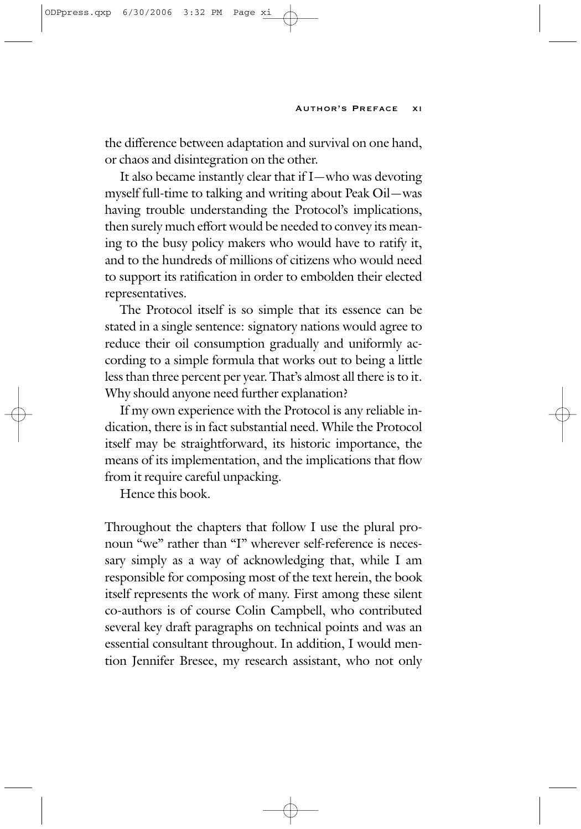the difference between adaptation and survival on one hand, or chaos and disintegration on the other.

It also became instantly clear that if I—who was devoting myself full-time to talking and writing about Peak Oil—was having trouble understanding the Protocol's implications, then surely much effort would be needed to convey its meaning to the busy policy makers who would have to ratify it, and to the hundreds of millions of citizens who would need to support its ratification in order to embolden their elected representatives.

The Protocol itself is so simple that its essence can be stated in a single sentence: signatory nations would agree to reduce their oil consumption gradually and uniformly according to a simple formula that works out to being a little less than three percent per year. That's almost all there is to it. Why should anyone need further explanation?

If my own experience with the Protocol is any reliable indication, there is in fact substantial need. While the Protocol itself may be straightforward, its historic importance, the means of its implementation, and the implications that flow from it require careful unpacking.

Hence this book.

Throughout the chapters that follow I use the plural pronoun "we" rather than "I" wherever self-reference is necessary simply as a way of acknowledging that, while I am responsible for composing most of the text herein, the book itself represents the work of many. First among these silent co-authors is of course Colin Campbell, who contributed several key draft paragraphs on technical points and was an essential consultant throughout. In addition, I would mention Jennifer Bresee, my research assistant, who not only